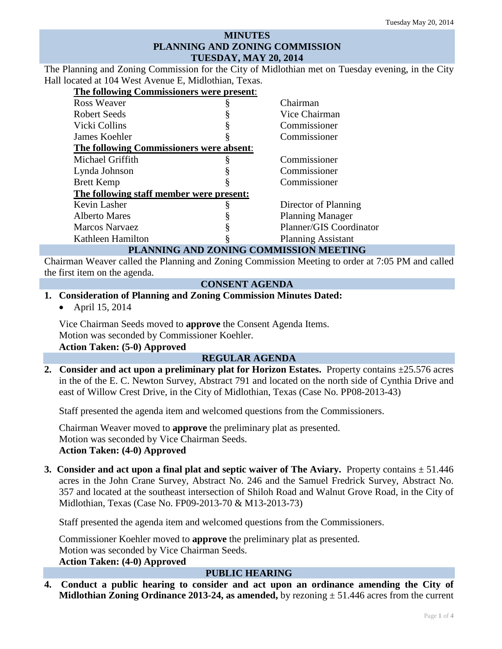## **MINUTES PLANNING AND ZONING COMMISSION TUESDAY, MAY 20, 2014**

The Planning and Zoning Commission for the City of Midlothian met on Tuesday evening, in the City Hall located at 104 West Avenue E, Midlothian, Texas.

**The following Commissioners were present**:

| THE TOHOWING COMMISSIONERS WELL PLESENT.   |  |                           |
|--------------------------------------------|--|---------------------------|
| <b>Ross Weaver</b>                         |  | Chairman                  |
| Robert Seeds                               |  | Vice Chairman             |
| Vicki Collins                              |  | Commissioner              |
| James Koehler                              |  | Commissioner              |
| The following Commissioners were absent:   |  |                           |
| Michael Griffith                           |  | Commissioner              |
| Lynda Johnson                              |  | Commissioner              |
| <b>Brett Kemp</b>                          |  | Commissioner              |
| The following staff member were present:   |  |                           |
| Kevin Lasher                               |  | Director of Planning      |
| <b>Alberto Mares</b>                       |  | <b>Planning Manager</b>   |
| Marcos Narvaez                             |  | Planner/GIS Coordinator   |
| Kathleen Hamilton                          |  | <b>Planning Assistant</b> |
| ONING COMMISSION MEETING<br>DI ANNINIA AND |  |                           |

### **PLANNING AND ZONING COMMISSION MEETING**

Chairman Weaver called the Planning and Zoning Commission Meeting to order at 7:05 PM and called the first item on the agenda.

## **CONSENT AGENDA**

# **1. Consideration of Planning and Zoning Commission Minutes Dated:**

• April 15, 2014

Vice Chairman Seeds moved to **approve** the Consent Agenda Items. Motion was seconded by Commissioner Koehler. **Action Taken: (5-0) Approved**

### **REGULAR AGENDA**

**2. Consider and act upon a preliminary plat for Horizon Estates.** Property contains ±25.576 acres in the of the E. C. Newton Survey, Abstract 791 and located on the north side of Cynthia Drive and east of Willow Crest Drive, in the City of Midlothian, Texas (Case No. PP08-2013-43)

Staff presented the agenda item and welcomed questions from the Commissioners.

Chairman Weaver moved to **approve** the preliminary plat as presented. Motion was seconded by Vice Chairman Seeds. **Action Taken: (4-0) Approved**

**3.** Consider and act upon a final plat and septic waiver of The Aviary. Property contains  $\pm$  51.446 acres in the John Crane Survey, Abstract No. 246 and the Samuel Fredrick Survey, Abstract No. 357 and located at the southeast intersection of Shiloh Road and Walnut Grove Road, in the City of Midlothian, Texas (Case No. FP09-2013-70 & M13-2013-73)

Staff presented the agenda item and welcomed questions from the Commissioners.

Commissioner Koehler moved to **approve** the preliminary plat as presented. Motion was seconded by Vice Chairman Seeds. **Action Taken: (4-0) Approved**

#### **PUBLIC HEARING**

**4. Conduct a public hearing to consider and act upon an ordinance amending the City of Midlothian Zoning Ordinance 2013-24, as amended,** by rezoning ± 51.446 acres from the current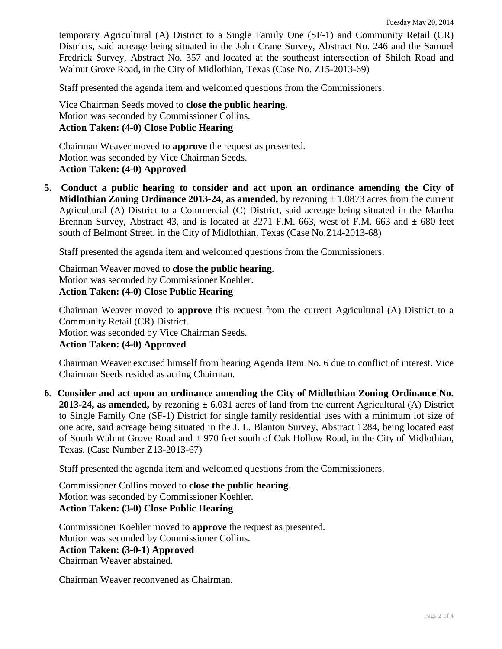temporary Agricultural (A) District to a Single Family One (SF-1) and Community Retail (CR) Districts, said acreage being situated in the John Crane Survey, Abstract No. 246 and the Samuel Fredrick Survey, Abstract No. 357 and located at the southeast intersection of Shiloh Road and Walnut Grove Road, in the City of Midlothian, Texas (Case No. Z15-2013-69)

Staff presented the agenda item and welcomed questions from the Commissioners.

Vice Chairman Seeds moved to **close the public hearing**. Motion was seconded by Commissioner Collins. **Action Taken: (4-0) Close Public Hearing**

Chairman Weaver moved to **approve** the request as presented. Motion was seconded by Vice Chairman Seeds. **Action Taken: (4-0) Approved**

**5. Conduct a public hearing to consider and act upon an ordinance amending the City of Midlothian Zoning Ordinance 2013-24, as amended,** by rezoning  $\pm 1.0873$  acres from the current Agricultural (A) District to a Commercial (C) District, said acreage being situated in the Martha Brennan Survey, Abstract 43, and is located at 3271 F.M. 663, west of F.M. 663 and  $\pm$  680 feet south of Belmont Street, in the City of Midlothian, Texas (Case No.Z14-2013-68)

Staff presented the agenda item and welcomed questions from the Commissioners.

Chairman Weaver moved to **close the public hearing**. Motion was seconded by Commissioner Koehler. **Action Taken: (4-0) Close Public Hearing**

Chairman Weaver moved to **approve** this request from the current Agricultural (A) District to a Community Retail (CR) District. Motion was seconded by Vice Chairman Seeds.

**Action Taken: (4-0) Approved**

Chairman Weaver excused himself from hearing Agenda Item No. 6 due to conflict of interest. Vice Chairman Seeds resided as acting Chairman.

**6. Consider and act upon an ordinance amending the City of Midlothian Zoning Ordinance No. 2013-24, as amended,** by rezoning  $\pm 6.031$  acres of land from the current Agricultural (A) District to Single Family One (SF-1) District for single family residential uses with a minimum lot size of one acre, said acreage being situated in the J. L. Blanton Survey, Abstract 1284, being located east of South Walnut Grove Road and  $\pm$  970 feet south of Oak Hollow Road, in the City of Midlothian, Texas. (Case Number Z13-2013-67)

Staff presented the agenda item and welcomed questions from the Commissioners.

Commissioner Collins moved to **close the public hearing**. Motion was seconded by Commissioner Koehler. **Action Taken: (3-0) Close Public Hearing**

Commissioner Koehler moved to **approve** the request as presented. Motion was seconded by Commissioner Collins. **Action Taken: (3-0-1) Approved** Chairman Weaver abstained.

Chairman Weaver reconvened as Chairman.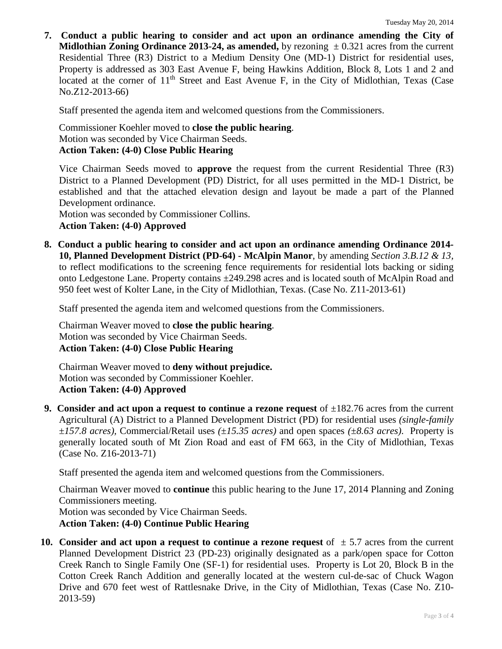**7. Conduct a public hearing to consider and act upon an ordinance amending the City of Midlothian Zoning Ordinance 2013-24, as amended,** by rezoning  $\pm 0.321$  acres from the current Residential Three (R3) District to a Medium Density One (MD-1) District for residential uses, Property is addressed as 303 East Avenue F, being Hawkins Addition, Block 8, Lots 1 and 2 and located at the corner of  $11<sup>th</sup>$  Street and East Avenue F, in the City of Midlothian, Texas (Case No.Z12-2013-66)

Staff presented the agenda item and welcomed questions from the Commissioners.

Commissioner Koehler moved to **close the public hearing**. Motion was seconded by Vice Chairman Seeds. **Action Taken: (4-0) Close Public Hearing**

Vice Chairman Seeds moved to **approve** the request from the current Residential Three (R3) District to a Planned Development (PD) District, for all uses permitted in the MD-1 District, be established and that the attached elevation design and layout be made a part of the Planned Development ordinance.

Motion was seconded by Commissioner Collins. **Action Taken: (4-0) Approved**

**8. Conduct a public hearing to consider and act upon an ordinance amending Ordinance 2014- 10, Planned Development District (PD-64) - McAlpin Manor**, by amending *Section 3.B.12 & 13,*  to reflect modifications to the screening fence requirements for residential lots backing or siding onto Ledgestone Lane. Property contains ±249.298 acres and is located south of McAlpin Road and 950 feet west of Kolter Lane, in the City of Midlothian, Texas. (Case No. Z11-2013-61)

Staff presented the agenda item and welcomed questions from the Commissioners.

Chairman Weaver moved to **close the public hearing**. Motion was seconded by Vice Chairman Seeds. **Action Taken: (4-0) Close Public Hearing**

Chairman Weaver moved to **deny without prejudice.** Motion was seconded by Commissioner Koehler. **Action Taken: (4-0) Approved**

**9.** Consider and act upon a request to continue a rezone request of  $\pm 182.76$  acres from the current Agricultural (A) District to a Planned Development District (PD) for residential uses *(single-family*  ±*157.8 acres),* Commercial/Retail uses *(*±*15.35 acres)* and open spaces *(*±*8.63 acres)*. Property is generally located south of Mt Zion Road and east of FM 663, in the City of Midlothian, Texas (Case No. Z16-2013-71)

Staff presented the agenda item and welcomed questions from the Commissioners.

Chairman Weaver moved to **continue** this public hearing to the June 17, 2014 Planning and Zoning Commissioners meeting. Motion was seconded by Vice Chairman Seeds.

**Action Taken: (4-0) Continue Public Hearing**

**10.** Consider and act upon a request to continue a rezone request of  $\pm$  5.7 acres from the current Planned Development District 23 (PD-23) originally designated as a park/open space for Cotton Creek Ranch to Single Family One (SF-1) for residential uses. Property is Lot 20, Block B in the Cotton Creek Ranch Addition and generally located at the western cul-de-sac of Chuck Wagon Drive and 670 feet west of Rattlesnake Drive, in the City of Midlothian, Texas (Case No. Z10- 2013-59)